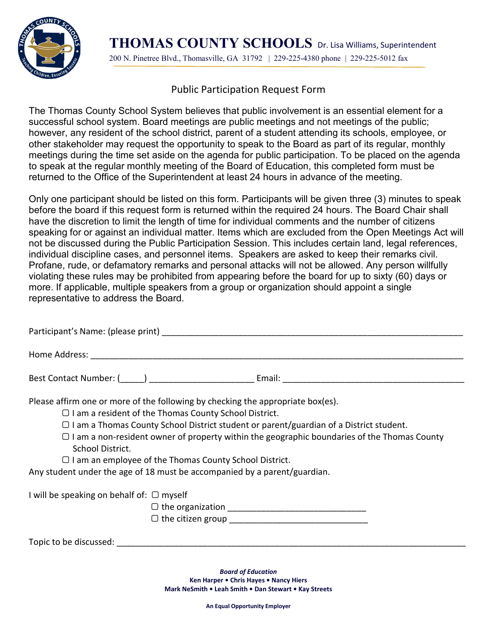

**THOMAS COUNTY SCHOOLS** Dr. Lisa Williams, Superintendent 200 N. Pinetree Blvd., Thomasville, GA 31792 | 229-225-4380 phone | 229-225-5012 fax

## Public Participation Request Form

The Thomas County School System believes that public involvement is an essential element for a successful school system. Board meetings are public meetings and not meetings of the public; however, any resident of the school district, parent of a student attending its schools, employee, or other stakeholder may request the opportunity to speak to the Board as part of its regular, monthly meetings during the time set aside on the agenda for public participation. To be placed on the agenda to speak at the regular monthly meeting of the Board of Education, this completed form must be returned to the Office of the Superintendent at least 24 hours in advance of the meeting.

Only one participant should be listed on this form. Participants will be given three (3) minutes to speak before the board if this request form is returned within the required 24 hours. The Board Chair shall have the discretion to limit the length of time for individual comments and the number of citizens speaking for or against an individual matter. Items which are excluded from the Open Meetings Act will not be discussed during the Public Participation Session. This includes certain land, legal references, individual discipline cases, and personnel items. Speakers are asked to keep their remarks civil. Profane, rude, or defamatory remarks and personal attacks will not be allowed. Any person willfully violating these rules may be prohibited from appearing before the board for up to sixty (60) days or more. If applicable, multiple speakers from a group or organization should appoint a single representative to address the Board.

|                                                                           |                                                               | Please affirm one or more of the following by checking the appropriate box(es).                                                                                                                                                |
|---------------------------------------------------------------------------|---------------------------------------------------------------|--------------------------------------------------------------------------------------------------------------------------------------------------------------------------------------------------------------------------------|
|                                                                           | $\Box$ I am a resident of the Thomas County School District.  |                                                                                                                                                                                                                                |
|                                                                           |                                                               | $\Box$ I am a Thomas County School District student or parent/guardian of a District student.                                                                                                                                  |
| School District.                                                          |                                                               | $\Box$ I am a non-resident owner of property within the geographic boundaries of the Thomas County                                                                                                                             |
|                                                                           | $\Box$ I am an employee of the Thomas County School District. |                                                                                                                                                                                                                                |
| Any student under the age of 18 must be accompanied by a parent/guardian. |                                                               |                                                                                                                                                                                                                                |
| I will be speaking on behalf of: $\Box$ myself                            |                                                               |                                                                                                                                                                                                                                |
|                                                                           |                                                               |                                                                                                                                                                                                                                |
|                                                                           |                                                               |                                                                                                                                                                                                                                |
|                                                                           |                                                               | Topic to be discussed: The contract of the contract of the contract of the contract of the contract of the contract of the contract of the contract of the contract of the contract of the contract of the contract of the con |
|                                                                           |                                                               |                                                                                                                                                                                                                                |
|                                                                           |                                                               | Donal of Edisophian                                                                                                                                                                                                            |

*Board of Education* **Ken Harper • Chris Hayes • Nancy Hiers Mark NeSmith • Leah Smith • Dan Stewart • Kay Streets**